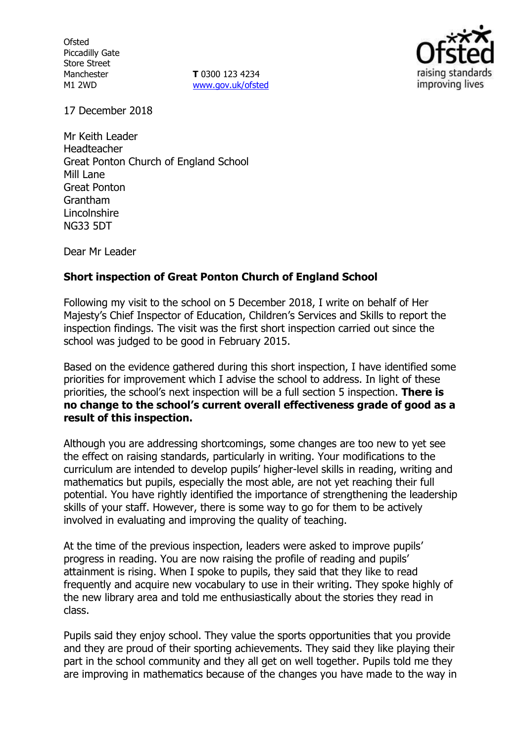**Ofsted** Piccadilly Gate Store Street Manchester M1 2WD

**T** 0300 123 4234 www.gov.uk/ofsted



17 December 2018

Mr Keith Leader Headteacher Great Ponton Church of England School Mill Lane Great Ponton Grantham Lincolnshire NG33 5DT

Dear Mr Leader

## **Short inspection of Great Ponton Church of England School**

Following my visit to the school on 5 December 2018, I write on behalf of Her Majesty's Chief Inspector of Education, Children's Services and Skills to report the inspection findings. The visit was the first short inspection carried out since the school was judged to be good in February 2015.

Based on the evidence gathered during this short inspection, I have identified some priorities for improvement which I advise the school to address. In light of these priorities, the school's next inspection will be a full section 5 inspection. **There is no change to the school's current overall effectiveness grade of good as a result of this inspection.**

Although you are addressing shortcomings, some changes are too new to yet see the effect on raising standards, particularly in writing. Your modifications to the curriculum are intended to develop pupils' higher-level skills in reading, writing and mathematics but pupils, especially the most able, are not yet reaching their full potential. You have rightly identified the importance of strengthening the leadership skills of your staff. However, there is some way to go for them to be actively involved in evaluating and improving the quality of teaching.

At the time of the previous inspection, leaders were asked to improve pupils' progress in reading. You are now raising the profile of reading and pupils' attainment is rising. When I spoke to pupils, they said that they like to read frequently and acquire new vocabulary to use in their writing. They spoke highly of the new library area and told me enthusiastically about the stories they read in class.

Pupils said they enjoy school. They value the sports opportunities that you provide and they are proud of their sporting achievements. They said they like playing their part in the school community and they all get on well together. Pupils told me they are improving in mathematics because of the changes you have made to the way in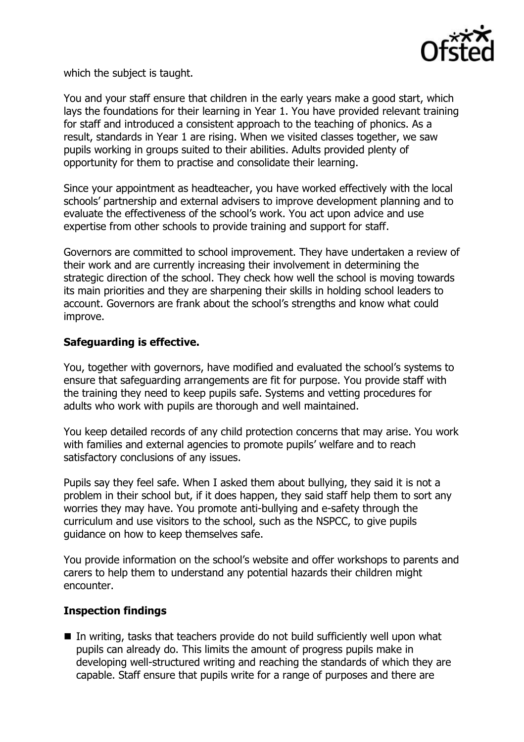

which the subject is taught.

You and your staff ensure that children in the early years make a good start, which lays the foundations for their learning in Year 1. You have provided relevant training for staff and introduced a consistent approach to the teaching of phonics. As a result, standards in Year 1 are rising. When we visited classes together, we saw pupils working in groups suited to their abilities. Adults provided plenty of opportunity for them to practise and consolidate their learning.

Since your appointment as headteacher, you have worked effectively with the local schools' partnership and external advisers to improve development planning and to evaluate the effectiveness of the school's work. You act upon advice and use expertise from other schools to provide training and support for staff.

Governors are committed to school improvement. They have undertaken a review of their work and are currently increasing their involvement in determining the strategic direction of the school. They check how well the school is moving towards its main priorities and they are sharpening their skills in holding school leaders to account. Governors are frank about the school's strengths and know what could improve.

# **Safeguarding is effective.**

You, together with governors, have modified and evaluated the school's systems to ensure that safeguarding arrangements are fit for purpose. You provide staff with the training they need to keep pupils safe. Systems and vetting procedures for adults who work with pupils are thorough and well maintained.

You keep detailed records of any child protection concerns that may arise. You work with families and external agencies to promote pupils' welfare and to reach satisfactory conclusions of any issues.

Pupils say they feel safe. When I asked them about bullying, they said it is not a problem in their school but, if it does happen, they said staff help them to sort any worries they may have. You promote anti-bullying and e-safety through the curriculum and use visitors to the school, such as the NSPCC, to give pupils guidance on how to keep themselves safe.

You provide information on the school's website and offer workshops to parents and carers to help them to understand any potential hazards their children might encounter.

## **Inspection findings**

 $\blacksquare$  In writing, tasks that teachers provide do not build sufficiently well upon what pupils can already do. This limits the amount of progress pupils make in developing well-structured writing and reaching the standards of which they are capable. Staff ensure that pupils write for a range of purposes and there are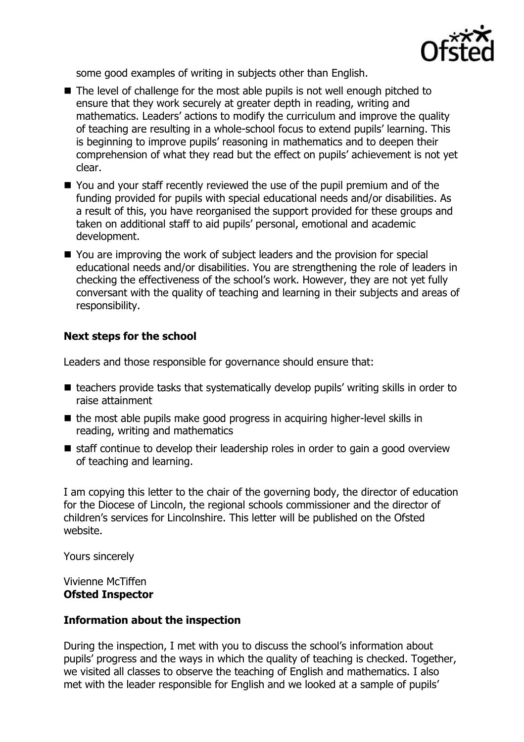

some good examples of writing in subjects other than English.

- The level of challenge for the most able pupils is not well enough pitched to ensure that they work securely at greater depth in reading, writing and mathematics. Leaders' actions to modify the curriculum and improve the quality of teaching are resulting in a whole-school focus to extend pupils' learning. This is beginning to improve pupils' reasoning in mathematics and to deepen their comprehension of what they read but the effect on pupils' achievement is not yet clear.
- You and your staff recently reviewed the use of the pupil premium and of the funding provided for pupils with special educational needs and/or disabilities. As a result of this, you have reorganised the support provided for these groups and taken on additional staff to aid pupils' personal, emotional and academic development.
- You are improving the work of subject leaders and the provision for special educational needs and/or disabilities. You are strengthening the role of leaders in checking the effectiveness of the school's work. However, they are not yet fully conversant with the quality of teaching and learning in their subjects and areas of responsibility.

# **Next steps for the school**

Leaders and those responsible for governance should ensure that:

- teachers provide tasks that systematically develop pupils' writing skills in order to raise attainment
- the most able pupils make good progress in acquiring higher-level skills in reading, writing and mathematics
- $\blacksquare$  staff continue to develop their leadership roles in order to gain a good overview of teaching and learning.

I am copying this letter to the chair of the governing body, the director of education for the Diocese of Lincoln, the regional schools commissioner and the director of children's services for Lincolnshire. This letter will be published on the Ofsted website.

Yours sincerely

Vivienne McTiffen **Ofsted Inspector**

## **Information about the inspection**

During the inspection, I met with you to discuss the school's information about pupils' progress and the ways in which the quality of teaching is checked. Together, we visited all classes to observe the teaching of English and mathematics. I also met with the leader responsible for English and we looked at a sample of pupils'